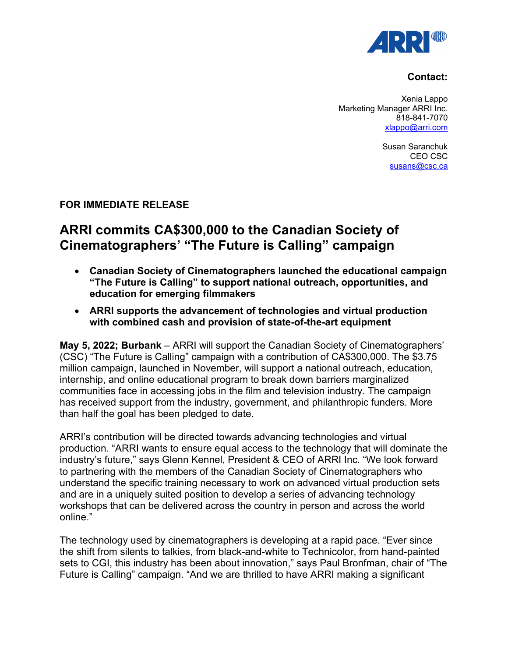

# **Contact:**

Xenia Lappo Marketing Manager ARRI Inc. 818-841-7070 [xlappo@arri.com](mailto:klappo@arri.com)

> Susan Saranchuk CEO CSC [susans@csc.ca](mailto:susans@csc.ca)

# **FOR IMMEDIATE RELEASE**

# **ARRI commits CA\$300,000 to the Canadian Society of Cinematographers' "The Future is Calling" campaign**

- **Canadian Society of Cinematographers launched the educational campaign "The Future is Calling" to support national outreach, opportunities, and education for emerging filmmakers**
- **ARRI supports the advancement of technologies and virtual production with combined cash and provision of state-of-the-art equipment**

**May 5, 2022; Burbank** – ARRI will support the Canadian Society of Cinematographers' (CSC) "The Future is Calling" campaign with a contribution of CA\$300,000. The \$3.75 million campaign, launched in November, will support a national outreach, education, internship, and online educational program to break down barriers marginalized communities face in accessing jobs in the film and television industry. The campaign has received support from the industry, government, and philanthropic funders. More than half the goal has been pledged to date.

ARRI's contribution will be directed towards advancing technologies and virtual production. "ARRI wants to ensure equal access to the technology that will dominate the industry's future," says Glenn Kennel, President & CEO of ARRI Inc. "We look forward to partnering with the members of the Canadian Society of Cinematographers who understand the specific training necessary to work on advanced virtual production sets and are in a uniquely suited position to develop a series of advancing technology workshops that can be delivered across the country in person and across the world online."

The technology used by cinematographers is developing at a rapid pace. "Ever since the shift from silents to talkies, from black-and-white to Technicolor, from hand-painted sets to CGI, this industry has been about innovation," says Paul Bronfman, chair of "The Future is Calling" campaign. "And we are thrilled to have ARRI making a significant